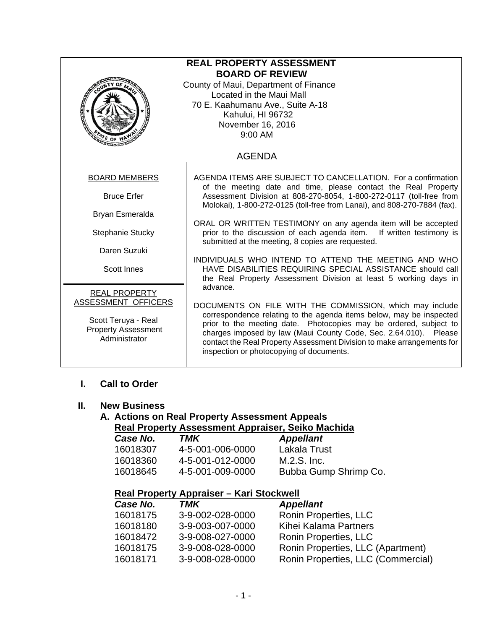| <b>REAL PROPERTY ASSESSMENT</b><br><b>BOARD OF REVIEW</b><br>County of Maui, Department of Finance<br>Located in the Maui Mall<br>70 E. Kaahumanu Ave., Suite A-18<br><b>ABRA</b><br>Kahului, HI 96732<br>November 16, 2016<br>9:00 AM |                                                                                                                                                                                                                                                                                                                                                                                                |  |  |  |
|----------------------------------------------------------------------------------------------------------------------------------------------------------------------------------------------------------------------------------------|------------------------------------------------------------------------------------------------------------------------------------------------------------------------------------------------------------------------------------------------------------------------------------------------------------------------------------------------------------------------------------------------|--|--|--|
| <b>AGENDA</b>                                                                                                                                                                                                                          |                                                                                                                                                                                                                                                                                                                                                                                                |  |  |  |
| <b>BOARD MEMBERS</b>                                                                                                                                                                                                                   | AGENDA ITEMS ARE SUBJECT TO CANCELLATION. For a confirmation                                                                                                                                                                                                                                                                                                                                   |  |  |  |
| <b>Bruce Erfer</b>                                                                                                                                                                                                                     | of the meeting date and time, please contact the Real Property<br>Assessment Division at 808-270-8054, 1-800-272-0117 (toll-free from<br>Molokai), 1-800-272-0125 (toll-free from Lanai), and 808-270-7884 (fax).                                                                                                                                                                              |  |  |  |
| Bryan Esmeralda                                                                                                                                                                                                                        |                                                                                                                                                                                                                                                                                                                                                                                                |  |  |  |
| Stephanie Stucky                                                                                                                                                                                                                       | ORAL OR WRITTEN TESTIMONY on any agenda item will be accepted<br>prior to the discussion of each agenda item.<br>If written testimony is<br>submitted at the meeting, 8 copies are requested.                                                                                                                                                                                                  |  |  |  |
| Daren Suzuki                                                                                                                                                                                                                           |                                                                                                                                                                                                                                                                                                                                                                                                |  |  |  |
| <b>Scott Innes</b>                                                                                                                                                                                                                     | INDIVIDUALS WHO INTEND TO ATTEND THE MEETING AND WHO<br>HAVE DISABILITIES REQUIRING SPECIAL ASSISTANCE should call<br>the Real Property Assessment Division at least 5 working days in                                                                                                                                                                                                         |  |  |  |
| <b>REAL PROPERTY</b>                                                                                                                                                                                                                   | advance.                                                                                                                                                                                                                                                                                                                                                                                       |  |  |  |
| ASSESSMENT OFFICERS<br>Scott Teruya - Real<br><b>Property Assessment</b><br>Administrator                                                                                                                                              | DOCUMENTS ON FILE WITH THE COMMISSION, which may include<br>correspondence relating to the agenda items below, may be inspected<br>prior to the meeting date. Photocopies may be ordered, subject to<br>charges imposed by law (Maui County Code, Sec. 2.64.010). Please<br>contact the Real Property Assessment Division to make arrangements for<br>inspection or photocopying of documents. |  |  |  |

### **I. Call to Order**

#### **II. New Business**

# **A. Actions on Real Property Assessment Appeals**

**Real Property Assessment Appraiser, Seiko Machida** 

| TMK              | <b>Appellant</b>      |
|------------------|-----------------------|
| 4-5-001-006-0000 | Lakala Trust          |
| 4-5-001-012-0000 | M.2.S. Inc.           |
| 4-5-001-009-0000 | Bubba Gump Shrimp Co. |
|                  |                       |

## **Real Property Appraiser – Kari Stockwell**

| <b>Appellant</b> |                                    |
|------------------|------------------------------------|
| 3-9-002-028-0000 | Ronin Properties, LLC              |
| 3-9-003-007-0000 | Kihei Kalama Partners              |
| 3-9-008-027-0000 | Ronin Properties, LLC              |
| 3-9-008-028-0000 | Ronin Properties, LLC (Apartment)  |
| 3-9-008-028-0000 | Ronin Properties, LLC (Commercial) |
|                  |                                    |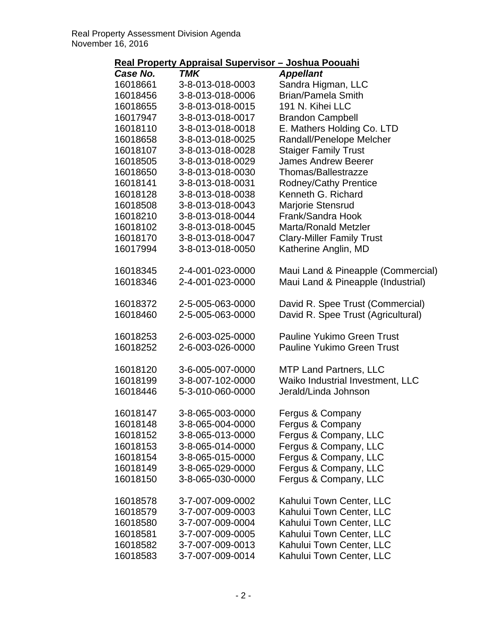| Case No. | <b>TMK</b>       | <b>Appellant</b>                   |
|----------|------------------|------------------------------------|
| 16018661 | 3-8-013-018-0003 | Sandra Higman, LLC                 |
| 16018456 | 3-8-013-018-0006 | <b>Brian/Pamela Smith</b>          |
| 16018655 | 3-8-013-018-0015 | 191 N. Kihei LLC                   |
| 16017947 | 3-8-013-018-0017 | <b>Brandon Campbell</b>            |
| 16018110 | 3-8-013-018-0018 | E. Mathers Holding Co. LTD         |
| 16018658 | 3-8-013-018-0025 | Randall/Penelope Melcher           |
| 16018107 | 3-8-013-018-0028 | <b>Staiger Family Trust</b>        |
| 16018505 | 3-8-013-018-0029 | <b>James Andrew Beerer</b>         |
| 16018650 | 3-8-013-018-0030 | Thomas/Ballestrazze                |
| 16018141 | 3-8-013-018-0031 | <b>Rodney/Cathy Prentice</b>       |
| 16018128 | 3-8-013-018-0038 | Kenneth G. Richard                 |
| 16018508 | 3-8-013-018-0043 | Marjorie Stensrud                  |
| 16018210 | 3-8-013-018-0044 | Frank/Sandra Hook                  |
| 16018102 | 3-8-013-018-0045 | Marta/Ronald Metzler               |
| 16018170 | 3-8-013-018-0047 | <b>Clary-Miller Family Trust</b>   |
| 16017994 | 3-8-013-018-0050 | Katherine Anglin, MD               |
| 16018345 | 2-4-001-023-0000 | Maui Land & Pineapple (Commercial) |
| 16018346 | 2-4-001-023-0000 | Maui Land & Pineapple (Industrial) |
| 16018372 | 2-5-005-063-0000 | David R. Spee Trust (Commercial)   |
| 16018460 | 2-5-005-063-0000 | David R. Spee Trust (Agricultural) |
| 16018253 | 2-6-003-025-0000 | <b>Pauline Yukimo Green Trust</b>  |
| 16018252 | 2-6-003-026-0000 | <b>Pauline Yukimo Green Trust</b>  |
| 16018120 | 3-6-005-007-0000 | <b>MTP Land Partners, LLC</b>      |
| 16018199 | 3-8-007-102-0000 | Waiko Industrial Investment, LLC   |
| 16018446 | 5-3-010-060-0000 | Jerald/Linda Johnson               |
| 16018147 | 3-8-065-003-0000 | Fergus & Company                   |
| 16018148 | 3-8-065-004-0000 | Fergus & Company                   |
| 16018152 | 3-8-065-013-0000 | Fergus & Company, LLC              |
| 16018153 | 3-8-065-014-0000 | Fergus & Company, LLC              |
| 16018154 | 3-8-065-015-0000 | Fergus & Company, LLC              |
| 16018149 | 3-8-065-029-0000 | Fergus & Company, LLC              |
| 16018150 | 3-8-065-030-0000 | Fergus & Company, LLC              |
| 16018578 | 3-7-007-009-0002 | Kahului Town Center, LLC           |
| 16018579 | 3-7-007-009-0003 | Kahului Town Center, LLC           |
| 16018580 | 3-7-007-009-0004 | Kahului Town Center, LLC           |
| 16018581 | 3-7-007-009-0005 | Kahului Town Center, LLC           |
| 16018582 | 3-7-007-009-0013 | Kahului Town Center, LLC           |
| 16018583 | 3-7-007-009-0014 | Kahului Town Center, LLC           |